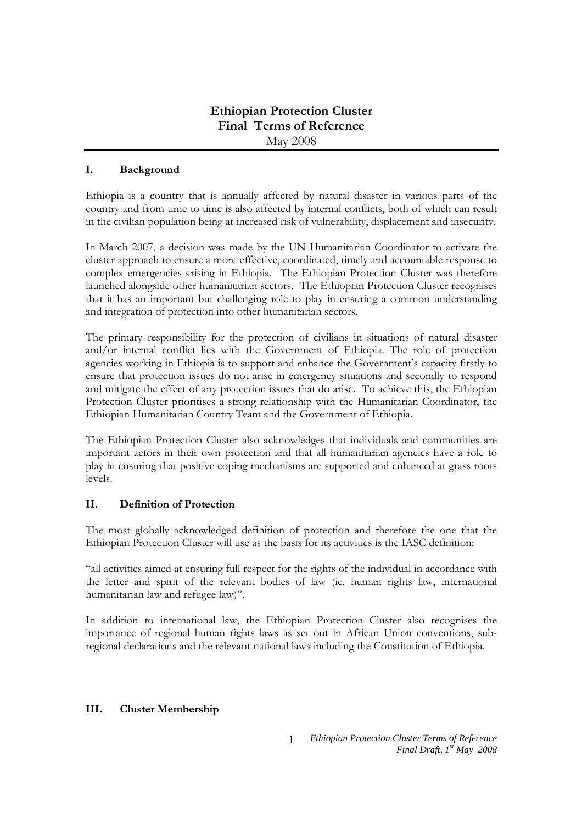## I. Background

Ethiopia is a country that is annually affected by natural disaster in various parts of the country and from time to time is also affected by internal conflicts, both of which can result in the civilian population being at increased risk of vulnerability, displacement and insecurity.

In March 2007, a decision was made by the UN Humanitarian Coordinator to activate the cluster approach to ensure a more effective, coordinated, timely and accountable response to complex emergencies arising in Ethiopia. The Ethiopian Protection Cluster was therefore launched alongside other humanitarian sectors. The Ethiopian Protection Cluster recognises that it has an important but challenging role to play in ensuring a common understanding and integration of protection into other humanitarian sectors.

The primary responsibility for the protection of civilians in situations of natural disaster and/or internal conflict lies with the Government of Ethiopia. The role of protection agencies working in Ethiopia is to support and enhance the Government's capacity firstly to ensure that protection issues do not arise in emergency situations and secondly to respond and mitigate the effect of any protection issues that do arise. To achieve this, the Ethiopian Protection Cluster prioritises a strong relationship with the Humanitarian Coordinator, the Ethiopian Humanitarian Country Team and the Government of Ethiopia.

The Ethiopian Protection Cluster also acknowledges that individuals and communities are important actors in their own protection and that all humanitarian agencies have a role to play in ensuring that positive coping mechanisms are supported and enhanced at grass roots levels.

## II. Definition of Protection

The most globally acknowledged definition of protection and therefore the one that the Ethiopian Protection Cluster will use as the basis for its activities is the IASC definition:

"all activities aimed at ensuring full respect for the rights of the individual in accordance with the letter and spirit of the relevant bodies of law (ie. human rights law, international humanitarian law and refugee law)".

In addition to international law, the Ethiopian Protection Cluster also recognises the importance of regional human rights laws as set out in African Union conventions, subregional declarations and the relevant national laws including the Constitution of Ethiopia.

## III. Cluster Membership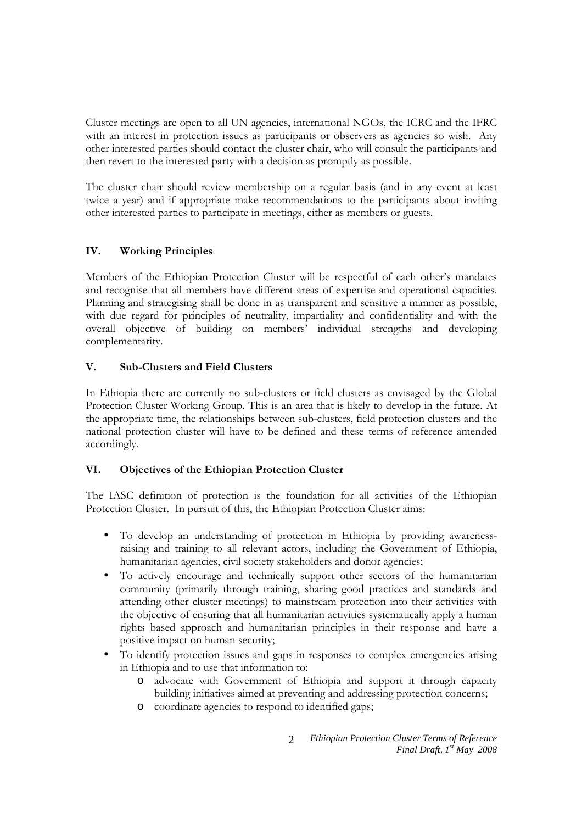Cluster meetings are open to all UN agencies, international NGOs, the ICRC and the IFRC with an interest in protection issues as participants or observers as agencies so wish. Any other interested parties should contact the cluster chair, who will consult the participants and then revert to the interested party with a decision as promptly as possible.

The cluster chair should review membership on a regular basis (and in any event at least twice a year) and if appropriate make recommendations to the participants about inviting other interested parties to participate in meetings, either as members or guests.

# IV. Working Principles

Members of the Ethiopian Protection Cluster will be respectful of each other's mandates and recognise that all members have different areas of expertise and operational capacities. Planning and strategising shall be done in as transparent and sensitive a manner as possible, with due regard for principles of neutrality, impartiality and confidentiality and with the overall objective of building on members' individual strengths and developing complementarity.

# V. Sub-Clusters and Field Clusters

In Ethiopia there are currently no sub-clusters or field clusters as envisaged by the Global Protection Cluster Working Group. This is an area that is likely to develop in the future. At the appropriate time, the relationships between sub-clusters, field protection clusters and the national protection cluster will have to be defined and these terms of reference amended accordingly.

# VI. Objectives of the Ethiopian Protection Cluster

The IASC definition of protection is the foundation for all activities of the Ethiopian Protection Cluster. In pursuit of this, the Ethiopian Protection Cluster aims:

- To develop an understanding of protection in Ethiopia by providing awarenessraising and training to all relevant actors, including the Government of Ethiopia, humanitarian agencies, civil society stakeholders and donor agencies;
- To actively encourage and technically support other sectors of the humanitarian community (primarily through training, sharing good practices and standards and attending other cluster meetings) to mainstream protection into their activities with the objective of ensuring that all humanitarian activities systematically apply a human rights based approach and humanitarian principles in their response and have a positive impact on human security;
- To identify protection issues and gaps in responses to complex emergencies arising in Ethiopia and to use that information to:
	- o advocate with Government of Ethiopia and support it through capacity building initiatives aimed at preventing and addressing protection concerns;
	- o coordinate agencies to respond to identified gaps;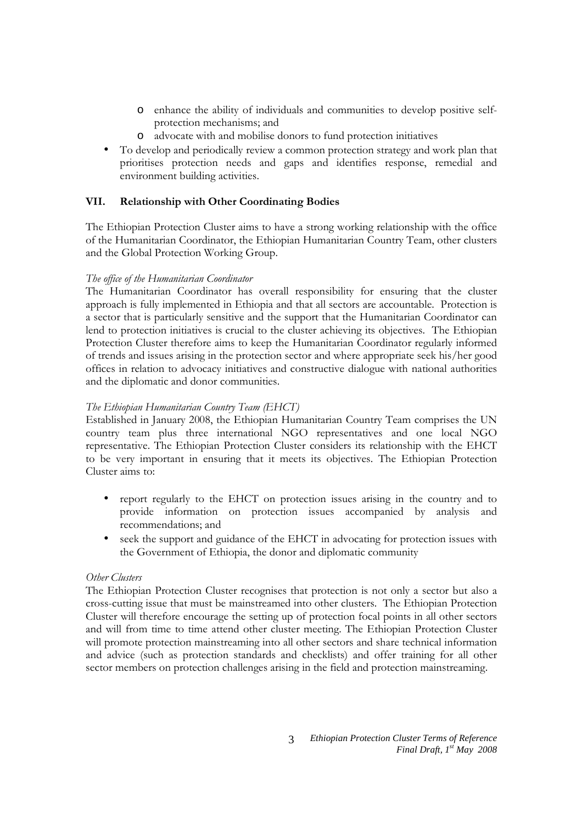- o enhance the ability of individuals and communities to develop positive selfprotection mechanisms; and
- o advocate with and mobilise donors to fund protection initiatives
- To develop and periodically review a common protection strategy and work plan that prioritises protection needs and gaps and identifies response, remedial and environment building activities.

## VII. Relationship with Other Coordinating Bodies

The Ethiopian Protection Cluster aims to have a strong working relationship with the office of the Humanitarian Coordinator, the Ethiopian Humanitarian Country Team, other clusters and the Global Protection Working Group.

## The office of the Humanitarian Coordinator

The Humanitarian Coordinator has overall responsibility for ensuring that the cluster approach is fully implemented in Ethiopia and that all sectors are accountable. Protection is a sector that is particularly sensitive and the support that the Humanitarian Coordinator can lend to protection initiatives is crucial to the cluster achieving its objectives. The Ethiopian Protection Cluster therefore aims to keep the Humanitarian Coordinator regularly informed of trends and issues arising in the protection sector and where appropriate seek his/her good offices in relation to advocacy initiatives and constructive dialogue with national authorities and the diplomatic and donor communities.

## The Ethiopian Humanitarian Country Team (EHCT)

Established in January 2008, the Ethiopian Humanitarian Country Team comprises the UN country team plus three international NGO representatives and one local NGO representative. The Ethiopian Protection Cluster considers its relationship with the EHCT to be very important in ensuring that it meets its objectives. The Ethiopian Protection Cluster aims to:

- report regularly to the EHCT on protection issues arising in the country and to provide information on protection issues accompanied by analysis and recommendations; and
- seek the support and guidance of the EHCT in advocating for protection issues with the Government of Ethiopia, the donor and diplomatic community

### Other Clusters

The Ethiopian Protection Cluster recognises that protection is not only a sector but also a cross-cutting issue that must be mainstreamed into other clusters. The Ethiopian Protection Cluster will therefore encourage the setting up of protection focal points in all other sectors and will from time to time attend other cluster meeting. The Ethiopian Protection Cluster will promote protection mainstreaming into all other sectors and share technical information and advice (such as protection standards and checklists) and offer training for all other sector members on protection challenges arising in the field and protection mainstreaming.